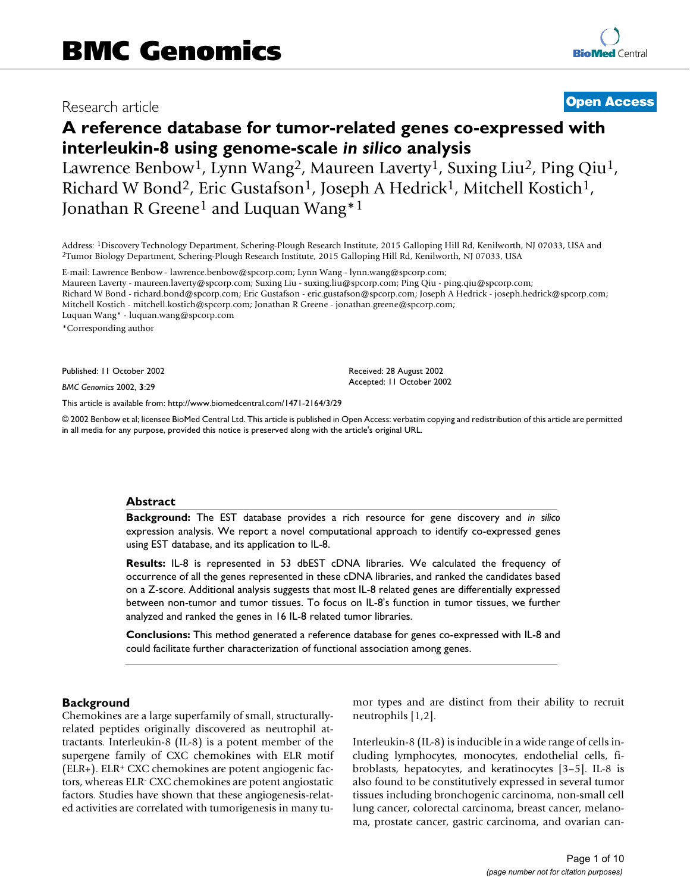# Research article **BMC General Access** Research article

# **A reference database for tumor-related genes co-expressed with interleukin-8 using genome-scale** *in silico* **analysis**

Lawrence Benbow<sup>1</sup>, Lynn Wang<sup>2</sup>, Maureen Laverty<sup>1</sup>, Suxing Liu<sup>2</sup>, Ping Qiu<sup>1</sup>, Richard W Bond<sup>2</sup>, Eric Gustafson<sup>1</sup>, Joseph A Hedrick<sup>1</sup>, Mitchell Kostich<sup>1</sup>, Jonathan R Greene<sup>1</sup> and Luquan Wang<sup>\*1</sup>

Address: <sup>1</sup>Discovery Technology Department, Schering-Plough Research Institute, 2015 Galloping Hill Rd, Kenilworth, NJ 07033, USA and<br><sup>2</sup>Tumor Biology Department, Schering-Plough Research Institute, 2015 Galloping Hill Rd

E-mail: Lawrence Benbow - lawrence.benbow@spcorp.com; Lynn Wang - lynn.wang@spcorp.com; Maureen Laverty - maureen.laverty@spcorp.com; Suxing Liu - suxing.liu@spcorp.com; Ping Qiu - ping.qiu@spcorp.com; Richard W Bond - richard.bond@spcorp.com; Eric Gustafson - eric.gustafson@spcorp.com; Joseph A Hedrick - joseph.hedrick@spcorp.com; Mitchell Kostich - mitchell.kostich@spcorp.com; Jonathan R Greene - jonathan.greene@spcorp.com; Luquan Wang\* - luquan.wang@spcorp.com

\*Corresponding author

Published: 11 October 2002

*BMC Genomics* 2002, **3**:29

[This article is available from: http://www.biomedcentral.com/1471-2164/3/29](http://www.biomedcentral.com/1471-2164/3/29)

in all media for any purpose, provided this notice is preserved along with the article's original URL.

© 2002 Benbow et al; licensee BioMed Central Ltd. This article is published in Open Access: verbatim copying and redistribution of this article are permitted

Received: 28 August 2002 Accepted: 11 October 2002

### **Abstract**

**Background:** The EST database provides a rich resource for gene discovery and *in silico* expression analysis. We report a novel computational approach to identify co-expressed genes using EST database, and its application to IL-8.

**Results:** IL-8 is represented in 53 dbEST cDNA libraries. We calculated the frequency of occurrence of all the genes represented in these cDNA libraries, and ranked the candidates based on a Z-score. Additional analysis suggests that most IL-8 related genes are differentially expressed between non-tumor and tumor tissues. To focus on IL-8's function in tumor tissues, we further analyzed and ranked the genes in 16 IL-8 related tumor libraries.

**Conclusions:** This method generated a reference database for genes co-expressed with IL-8 and could facilitate further characterization of functional association among genes.

#### **Background**

Chemokines are a large superfamily of small, structurallyrelated peptides originally discovered as neutrophil attractants. Interleukin-8 (IL-8) is a potent member of the supergene family of CXC chemokines with ELR motif (ELR+). ELR+ CXC chemokines are potent angiogenic factors, whereas ELR- CXC chemokines are potent angiostatic factors. Studies have shown that these angiogenesis-related activities are correlated with tumorigenesis in many tumor types and are distinct from their ability to recruit neutrophils [1,2].

Interleukin-8 (IL-8) is inducible in a wide range of cells including lymphocytes, monocytes, endothelial cells, fibroblasts, hepatocytes, and keratinocytes [3–5]. IL-8 is also found to be constitutively expressed in several tumor tissues including bronchogenic carcinoma, non-small cell lung cancer, colorectal carcinoma, breast cancer, melanoma, prostate cancer, gastric carcinoma, and ovarian can-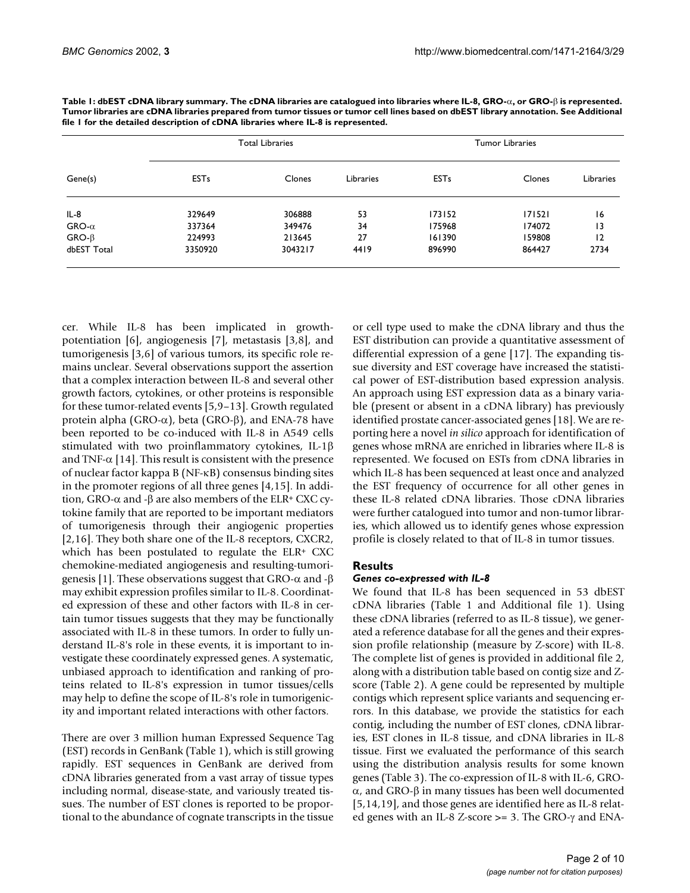|              | <b>Total Libraries</b> |               |           | <b>Tumor Libraries</b> |        |                 |
|--------------|------------------------|---------------|-----------|------------------------|--------|-----------------|
| Gene(s)      | <b>EST<sub>s</sub></b> | <b>Clones</b> | Libraries | <b>EST<sub>s</sub></b> | Clones | Libraries       |
| $IL-8$       | 329649                 | 306888        | 53        | 173152                 | 171521 | 16              |
| $GRO-\alpha$ | 337364                 | 349476        | 34        | 175968                 | 174072 | $\overline{13}$ |
| $GRO-\beta$  | 224993                 | 213645        | 27        | 161390                 | 159808 | 12              |
| dbEST Total  | 3350920                | 3043217       | 4419      | 896990                 | 864427 | 2734            |
|              |                        |               |           |                        |        |                 |

 $\boldsymbol{\Gamma}$ able I: dbEST cDNA library summary. The cDNA libraries are catalogued into libraries where IL-8, GRO- $\alpha$ , or GRO- $\beta$  is represented. **Tumor libraries are cDNA libraries prepared from tumor tissues or tumor cell lines based on dbEST library annotation. See Additional file 1 for the detailed description of cDNA libraries where IL-8 is represented.**

cer. While IL-8 has been implicated in growthpotentiation [6], angiogenesis [7], metastasis [3,8], and tumorigenesis [3,6] of various tumors, its specific role remains unclear. Several observations support the assertion that a complex interaction between IL-8 and several other growth factors, cytokines, or other proteins is responsible for these tumor-related events [5,9–13]. Growth regulated protein alpha (GRO- $\alpha$ ), beta (GRO- $\beta$ ), and ENA-78 have been reported to be co-induced with IL-8 in A549 cells stimulated with two proinflammatory cytokines, IL-1 $\beta$ and TNF- $\alpha$  [14]. This result is consistent with the presence of nuclear factor kappa B ( $NF-KB$ ) consensus binding sites in the promoter regions of all three genes [4,15]. In addition, GRO- $\alpha$  and - $\beta$  are also members of the ELR+ CXC cytokine family that are reported to be important mediators of tumorigenesis through their angiogenic properties [2,16]. They both share one of the IL-8 receptors, CXCR2, which has been postulated to regulate the ELR+ CXC chemokine-mediated angiogenesis and resulting-tumorigenesis [1]. These observations suggest that GRO- $\alpha$  and -β may exhibit expression profiles similar to IL-8. Coordinated expression of these and other factors with IL-8 in certain tumor tissues suggests that they may be functionally associated with IL-8 in these tumors. In order to fully understand IL-8's role in these events, it is important to investigate these coordinately expressed genes. A systematic, unbiased approach to identification and ranking of proteins related to IL-8's expression in tumor tissues/cells may help to define the scope of IL-8's role in tumorigenicity and important related interactions with other factors.

There are over 3 million human Expressed Sequence Tag (EST) records in GenBank (Table 1), which is still growing rapidly. EST sequences in GenBank are derived from cDNA libraries generated from a vast array of tissue types including normal, disease-state, and variously treated tissues. The number of EST clones is reported to be proportional to the abundance of cognate transcripts in the tissue

or cell type used to make the cDNA library and thus the EST distribution can provide a quantitative assessment of differential expression of a gene [17]. The expanding tissue diversity and EST coverage have increased the statistical power of EST-distribution based expression analysis. An approach using EST expression data as a binary variable (present or absent in a cDNA library) has previously identified prostate cancer-associated genes [18]. We are reporting here a novel *in silico* approach for identification of genes whose mRNA are enriched in libraries where IL-8 is represented. We focused on ESTs from cDNA libraries in which IL-8 has been sequenced at least once and analyzed the EST frequency of occurrence for all other genes in these IL-8 related cDNA libraries. Those cDNA libraries were further catalogued into tumor and non-tumor libraries, which allowed us to identify genes whose expression profile is closely related to that of IL-8 in tumor tissues.

# **Results**

# <span id="page-1-0"></span>*Genes co-expressed with IL-8*

We found that IL-8 has been sequenced in 53 dbEST cDNA libraries (Table 1 and Additional file 1). Using these cDNA libraries (referred to as IL-8 tissue), we generated a reference database for all the genes and their expression profile relationship (measure by Z-score) with IL-8. The complete list of genes is provided in additional file 2, along with a distribution table based on contig size and Zscore (Table [2\)](#page-1-0). A gene could be represented by multiple contigs which represent splice variants and sequencing errors. In this database, we provide the statistics for each contig, including the number of EST clones, cDNA libraries, EST clones in IL-8 tissue, and cDNA libraries in IL-8 tissue. First we evaluated the performance of this search using the distribution analysis results for some known genes (Table [3\)](#page-1-0). The co-expression of IL-8 with IL-6, GRO-  $\alpha$ , and GRO-β in many tissues has been well documented [5,14,19], and those genes are identified here as IL-8 related genes with an IL-8 Z-score  $\geq$  = 3. The GRO- $\gamma$  and ENA-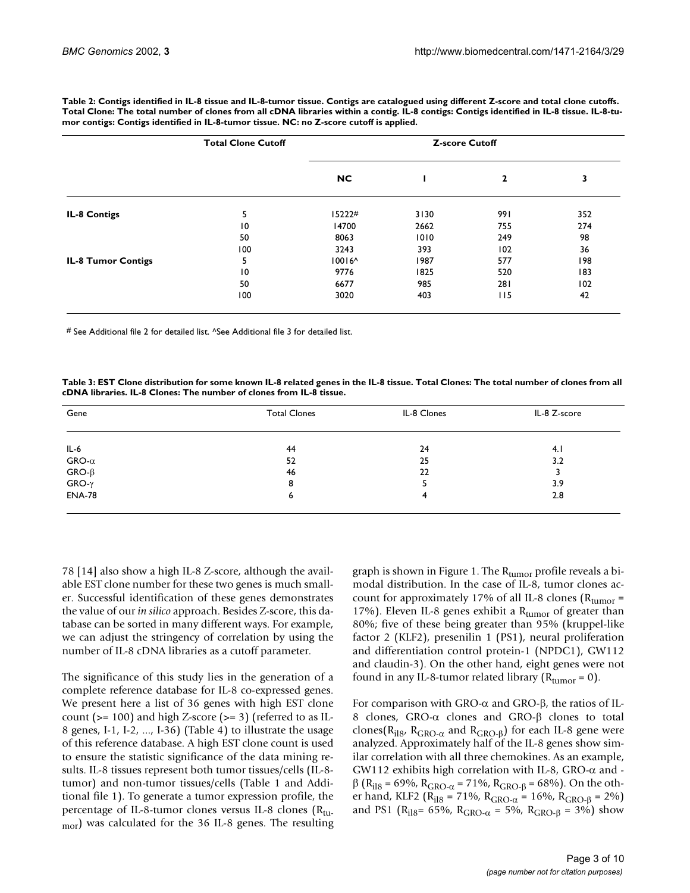|                           | <b>Total Clone Cutoff</b> |           | <b>Z-score Cutoff</b> |     |     |
|---------------------------|---------------------------|-----------|-----------------------|-----|-----|
|                           |                           | <b>NC</b> |                       | 2   | 3   |
| IL-8 Contigs              | 5                         | 15222#    | 3130                  | 991 | 352 |
|                           | 10                        | 14700     | 2662                  | 755 | 274 |
|                           | 50                        | 8063      | 1010                  | 249 | 98  |
|                           | 100                       | 3243      | 393                   | 102 | 36  |
| <b>IL-8 Tumor Contigs</b> | 5                         | $10016^$  | 1987                  | 577 | 198 |
|                           | 10                        | 9776      | 1825                  | 520 | 183 |
|                           | 50                        | 6677      | 985                   | 281 | 102 |
|                           | 100                       | 3020      | 403                   | 115 | 42  |

**Table 2: Contigs identified in IL-8 tissue and IL-8-tumor tissue. Contigs are catalogued using different Z-score and total clone cutoffs. Total Clone: The total number of clones from all cDNA libraries within a contig. IL-8 contigs: Contigs identified in IL-8 tissue. IL-8-tumor contigs: Contigs identified in IL-8-tumor tissue. NC: no Z-score cutoff is applied.**

# See Additional file 2 for detailed list. ^See Additional file 3 for detailed list.

**Table 3: EST Clone distribution for some known IL-8 related genes in the IL-8 tissue. Total Clones: The total number of clones from all cDNA libraries. IL-8 Clones: The number of clones from IL-8 tissue.**

| Gene                    | <b>Total Clones</b> | IL-8 Clones | IL-8 Z-score |
|-------------------------|---------------------|-------------|--------------|
| $IL-6$                  | 44                  | 24          | 4.1          |
|                         | 52                  | 25          | 3.2          |
| GRO-α<br>GRO-β<br>GRO-γ | 46                  | 22          |              |
|                         | 8                   |             | 3.9          |
| <b>ENA-78</b>           | 0                   | 4           | 2.8          |
|                         |                     |             |              |

78 [14] also show a high IL-8 Z-score, although the available EST clone number for these two genes is much smaller. Successful identification of these genes demonstrates the value of our *in silico* approach. Besides Z-score, this database can be sorted in many different ways. For example, we can adjust the stringency of correlation by using the number of IL-8 cDNA libraries as a cutoff parameter.

The significance of this study lies in the generation of a complete reference database for IL-8 co-expressed genes. We present here a list of 36 genes with high EST clone count ( $> = 100$ ) and high Z-score ( $> = 3$ ) (referred to as IL-8 genes, I-1, I-2, ..., I-36) (Table [4](#page-3-0)) to illustrate the usage of this reference database. A high EST clone count is used to ensure the statistic significance of the data mining results. IL-8 tissues represent both tumor tissues/cells (IL-8 tumor) and non-tumor tissues/cells (Table 1 and Additional file 1). To generate a tumor expression profile, the percentage of IL-8-tumor clones versus IL-8 clones  $(R_{tu-})$ mor) was calculated for the 36 IL-8 genes. The resulting

graph is shown in Figure [1](#page-3-1). The  $\rm R_{\rm tumor}$  profile reveals a bimodal distribution. In the case of IL-8, tumor clones account for approximately 17% of all IL-8 clones ( $R_{\text{tumor}} =$ 17%). Eleven IL-8 genes exhibit a  $R_{\text{tumor}}$  of greater than 80%; five of these being greater than 95% (kruppel-like factor 2 (KLF2), presenilin 1 (PS1), neural proliferation and differentiation control protein-1 (NPDC1), GW112 and claudin-3). On the other hand, eight genes were not found in any IL-8-tumor related library  $(R_{\text{tumor}} = 0)$ .

For comparison with GRO- $\alpha$  and GRO- $\beta$ , the ratios of IL-8 clones, GRO- $\alpha$  clones and GRO- $\beta$  clones to total clones(R<sub>il8</sub>, R<sub>GRO- $\alpha$ </sub> and R<sub>GRO-β</sub>) for each IL-8 gene were analyzed. Approximately half of the IL-8 genes show similar correlation with all three chemokines. As an example, GW112 exhibits high correlation with IL-8, GRO- $\alpha$  and - $\beta$  (R<sub>il8</sub> = 69%, R<sub>GRO- $\alpha$ </sub> = 71%, R<sub>GRO-β</sub> = 68%). On the other hand, KLF2 (R<sub>il8</sub> = 71%, R<sub>GRO- $\alpha$ </sub> = 16%, R<sub>GRO-β</sub> = 2%) and PS1 ( $R_{i18}$ = 65%,  $R_{GRO-\alpha}$  = 5%,  $R_{GRO-\beta}$  = 3%) show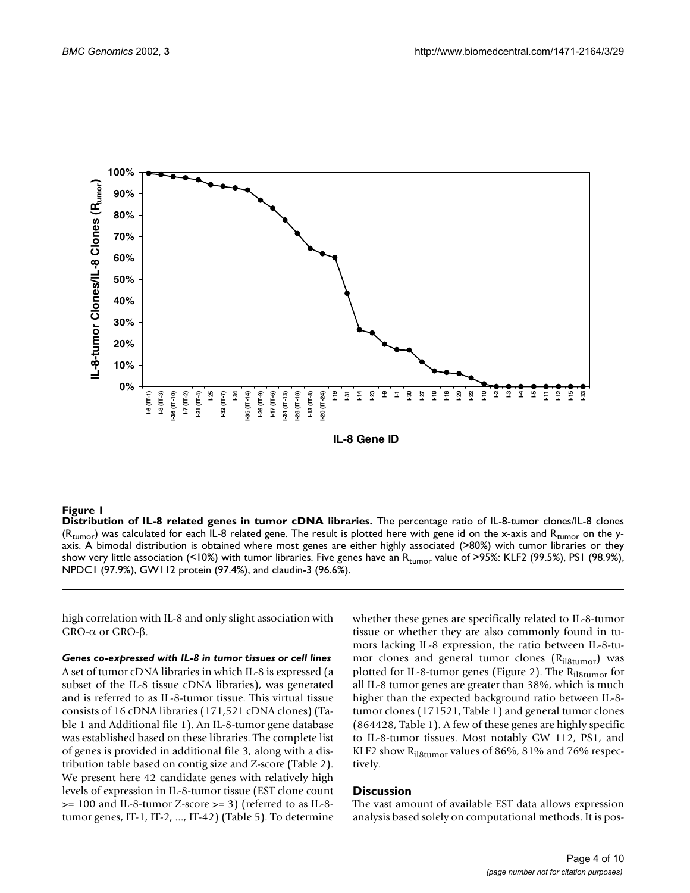

#### <span id="page-3-1"></span>**Figure 1**

**Distribution of IL-8 related genes in tumor cDNA libraries.** The percentage ratio of IL-8-tumor clones/IL-8 clones  $(R_{\text{tumor}})$  was calculated for each IL-8 related gene. The result is plotted here with gene id on the x-axis and  $R_{\text{tumor}}$  on the yaxis. A bimodal distribution is obtained where most genes are either highly associated (>80%) with tumor libraries or they show very little association (<10%) with tumor libraries. Five genes have an  $R_{\text{tumor}}$  value of >95%: KLF2 (99.5%), PS1 (98.9%), NPDC1 (97.9%), GW112 protein (97.4%), and claudin-3 (96.6%).

high correlation with IL-8 and only slight association with GRO-α or GRO-β.

<span id="page-3-0"></span>*Genes co-expressed with IL-8 in tumor tissues or cell lines* A set of tumor cDNA libraries in which IL-8 is expressed (a subset of the IL-8 tissue cDNA libraries), was generated and is referred to as IL-8-tumor tissue. This virtual tissue consists of 16 cDNA libraries (171,521 cDNA clones) (Table 1 and Additional file 1). An IL-8-tumor gene database was established based on these libraries. The complete list of genes is provided in additional file 3, along with a distribution table based on contig size and Z-score (Table [2\)](#page-1-0). We present here 42 candidate genes with relatively high levels of expression in IL-8-tumor tissue (EST clone count >= 100 and IL-8-tumor Z-score >= 3) (referred to as IL-8 tumor genes, IT-1, IT-2, ..., IT-42) (Table 5). To determine

whether these genes are specifically related to IL-8-tumor tissue or whether they are also commonly found in tumors lacking IL-8 expression, the ratio between IL-8-tumor clones and general tumor clones  $(R<sub>il8tumor</sub>)$  was plotted for IL-8-tumor genes (Figure [2](#page-5-0)). The R<sub>il8tumor</sub> for all IL-8 tumor genes are greater than 38%, which is much higher than the expected background ratio between IL-8 tumor clones (171521, Table 1) and general tumor clones (864428, Table 1). A few of these genes are highly specific to IL-8-tumor tissues. Most notably GW 112, PS1, and KLF2 show Ril8tumor values of 86%, 81% and 76% respectively.

### **Discussion**

The vast amount of available EST data allows expression analysis based solely on computational methods. It is pos-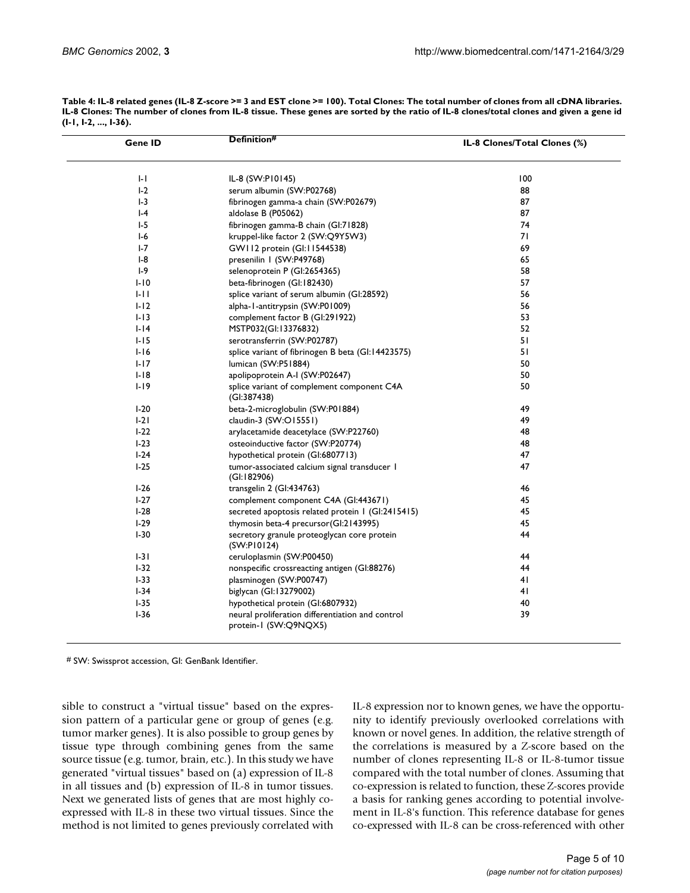| Gene ID  | Definition#                                                               | IL-8 Clones/Total Clones (%) |
|----------|---------------------------------------------------------------------------|------------------------------|
| $  -  $  | IL-8 (SW:P10145)                                                          | 100                          |
| $I-2$    | serum albumin (SW:P02768)                                                 | 88                           |
| $-3$     | fibrinogen gamma-a chain (SW:P02679)                                      | 87                           |
| $ -4$    | aldolase B (P05062)                                                       | 87                           |
| $I-5$    | fibrinogen gamma-B chain (GI:71828)                                       | 74                           |
| $I-6$    | kruppel-like factor 2 (SW:Q9Y5W3)                                         | 71                           |
| $I - 7$  | GW II2 protein (GI: II544538)                                             | 69                           |
| $I-8$    | presenilin I (SW:P49768)                                                  | 65                           |
| $I-9$    | selenoprotein P (Gl:2654365)                                              | 58                           |
| $I-IO$   | beta-fibrinogen (GI:182430)                                               | 57                           |
| $1 - 11$ | splice variant of serum albumin (GI:28592)                                | 56                           |
| $I-I2$   | alpha-1-antitrypsin (SW:P01009)                                           | 56                           |
| $1-13$   | complement factor B (GI:291922)                                           | 53                           |
| $I-I4$   | MSTP032(GI:13376832)                                                      | 52                           |
| $1-15$   | serotransferrin (SW:P02787)                                               | 51                           |
| $I-I6$   | splice variant of fibrinogen B beta (GI:14423575)                         | 51                           |
| $1-17$   | lumican (SW:P51884)                                                       | 50                           |
| $I-I8$   | apolipoprotein A-I (SW:P02647)                                            | 50                           |
| $1-19$   | splice variant of complement component C4A                                | 50                           |
|          | (GI:387438)                                                               |                              |
| $I-20$   | beta-2-microglobulin (SW:P01884)                                          | 49                           |
| $1-21$   | claudin-3 (SW:O15551)                                                     | 49                           |
| $1-22$   | arylacetamide deacetylace (SW:P22760)                                     | 48                           |
| $I-23$   | osteoinductive factor (SW:P20774)                                         | 48                           |
| $1-24$   | hypothetical protein (GI:6807713)                                         | 47                           |
| $1-25$   | tumor-associated calcium signal transducer 1<br>(GI:182906)               | 47                           |
| $1-26$   | transgelin 2 (GI:434763)                                                  | 46                           |
| $1-27$   | complement component C4A (GI:443671)                                      | 45                           |
| $I-28$   | secreted apoptosis related protein 1 (GI:2415415)                         | 45                           |
| $1-29$   | thymosin beta-4 precursor(GI:2143995)                                     | 45                           |
| $I-30$   | secretory granule proteoglycan core protein<br>(SW:PI0124)                | 44                           |
| $1-31$   | ceruloplasmin (SW:P00450)                                                 | 44                           |
| $I-32$   | nonspecific crossreacting antigen (GI:88276)                              | 44                           |
| $I-33$   | plasminogen (SW:P00747)                                                   | 4 <sub>l</sub>               |
| $I-34$   | biglycan (GI:13279002)                                                    | 41                           |
| $1 - 35$ | hypothetical protein (GI:6807932)                                         | 40                           |
| $I-36$   | neural proliferation differentiation and control<br>protein-1 (SW:Q9NQX5) | 39                           |

**Table 4: IL-8 related genes (IL-8 Z-score >= 3 and EST clone >= 100). Total Clones: The total number of clones from all cDNA libraries. IL-8 Clones: The number of clones from IL-8 tissue. These genes are sorted by the ratio of IL-8 clones/total clones and given a gene id (I-1, I-2, ..., I-36).**

# SW: Swissprot accession, GI: GenBank Identifier.

sible to construct a "virtual tissue" based on the expression pattern of a particular gene or group of genes (e.g. tumor marker genes). It is also possible to group genes by tissue type through combining genes from the same source tissue (e.g. tumor, brain, etc.). In this study we have generated "virtual tissues" based on (a) expression of IL-8 in all tissues and (b) expression of IL-8 in tumor tissues. Next we generated lists of genes that are most highly coexpressed with IL-8 in these two virtual tissues. Since the method is not limited to genes previously correlated with

IL-8 expression nor to known genes, we have the opportunity to identify previously overlooked correlations with known or novel genes. In addition, the relative strength of the correlations is measured by a Z-score based on the number of clones representing IL-8 or IL-8-tumor tissue compared with the total number of clones. Assuming that co-expression is related to function, these Z-scores provide a basis for ranking genes according to potential involvement in IL-8's function. This reference database for genes co-expressed with IL-8 can be cross-referenced with other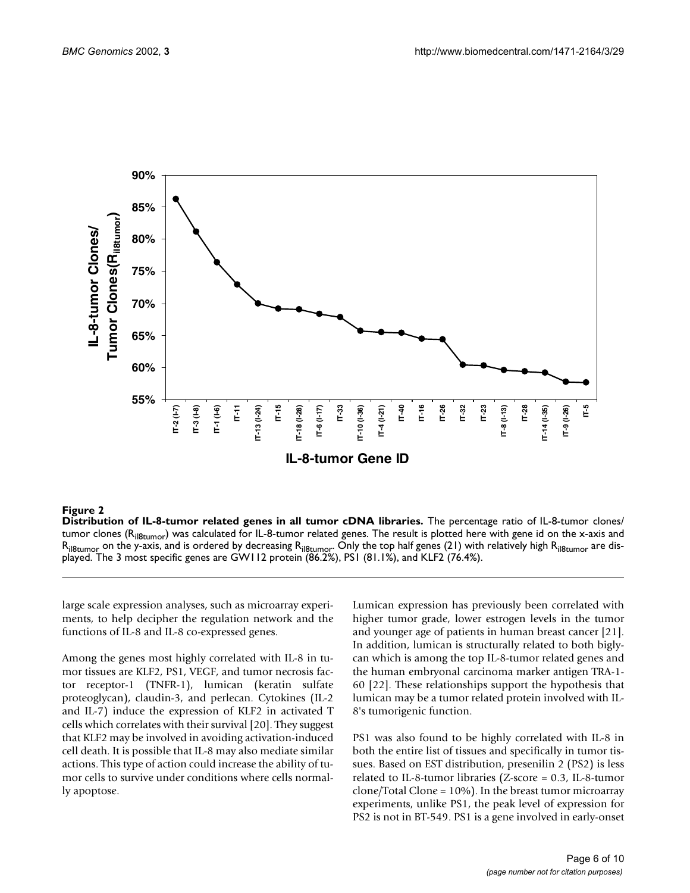

### <span id="page-5-0"></span>**Figure 2**

**Distribution of IL-8-tumor related genes in all tumor cDNA libraries.** The percentage ratio of IL-8-tumor clones/ tumor clones (R<sub>il8tumor</sub>) was calculated for IL-8-tumor related genes. The result is plotted here with gene id on the x-axis and  ${\sf R}_{\sf iB\&tumor}$  on the y-axis, and is ordered by decreasing  ${\sf R}_{\sf iB\&tumor}$ . Only the top half genes (21) with relatively high  ${\sf R}_{\sf iB\&tumor}$  are displayed. The 3 most specific genes are GW112 protein (86.2%), PS1 (81.1%), and KLF2 (76.4%).

large scale expression analyses, such as microarray experiments, to help decipher the regulation network and the functions of IL-8 and IL-8 co-expressed genes.

Among the genes most highly correlated with IL-8 in tumor tissues are KLF2, PS1, VEGF, and tumor necrosis factor receptor-1 (TNFR-1), lumican (keratin sulfate proteoglycan), claudin-3, and perlecan. Cytokines (IL-2 and IL-7) induce the expression of KLF2 in activated T cells which correlates with their survival [20]. They suggest that KLF2 may be involved in avoiding activation-induced cell death. It is possible that IL-8 may also mediate similar actions. This type of action could increase the ability of tumor cells to survive under conditions where cells normally apoptose.

Lumican expression has previously been correlated with higher tumor grade, lower estrogen levels in the tumor and younger age of patients in human breast cancer [21]. In addition, lumican is structurally related to both biglycan which is among the top IL-8-tumor related genes and the human embryonal carcinoma marker antigen TRA-1- 60 [22]. These relationships support the hypothesis that lumican may be a tumor related protein involved with IL-8's tumorigenic function.

PS1 was also found to be highly correlated with IL-8 in both the entire list of tissues and specifically in tumor tissues. Based on EST distribution, presenilin 2 (PS2) is less related to IL-8-tumor libraries (Z-score = 0.3, IL-8-tumor clone/Total Clone = 10%). In the breast tumor microarray experiments, unlike PS1, the peak level of expression for PS2 is not in BT-549. PS1 is a gene involved in early-onset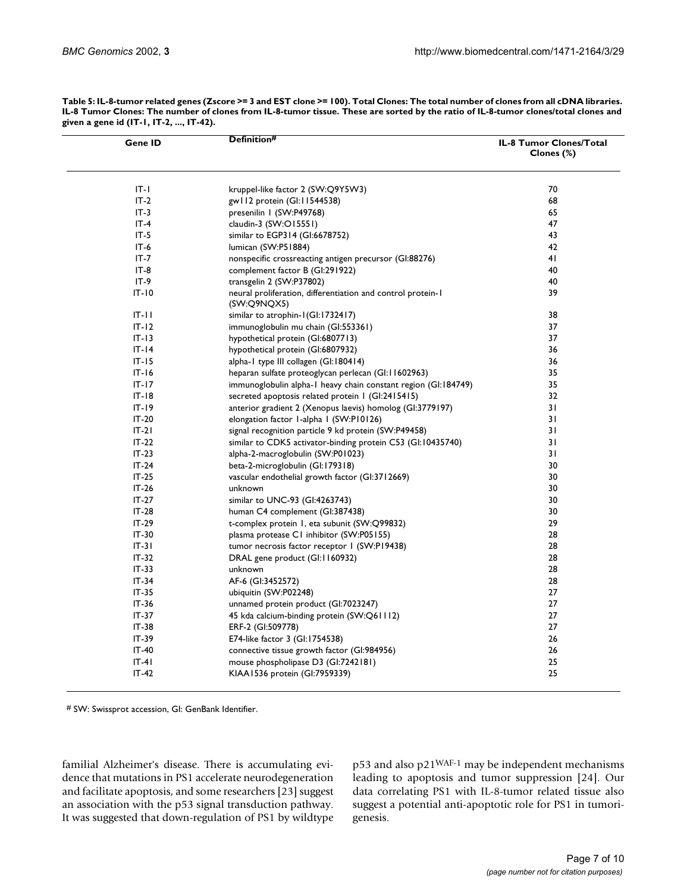| Gene ID   | Definition#                                                                | IL-8 Tumor Clones/Total<br>Clones (%) |
|-----------|----------------------------------------------------------------------------|---------------------------------------|
| $IT-I$    | kruppel-like factor 2 (SW:Q9Y5W3)                                          | 70                                    |
| $IT-2$    | gw II2 protein (GI: II544538)                                              | 68                                    |
| $IT-3$    | presenilin I (SW:P49768)                                                   | 65                                    |
| $IT-4$    | claudin-3 (SW:O15551)                                                      | 47                                    |
| $IT-5$    | similar to EGP314 (GI:6678752)                                             | 43                                    |
| $IT-6$    | lumican (SW:P51884)                                                        | 42                                    |
| $IT - 7$  | nonspecific crossreacting antigen precursor (GI:88276)                     | 41                                    |
| $IT-8$    | complement factor B (GI:291922)                                            | 40                                    |
| $IT-9$    | transgelin 2 (SW:P37802)                                                   | 40                                    |
| $IT - 10$ | neural proliferation, differentiation and control protein-1<br>(SW:Q9NQX5) | 39                                    |
| $IT - II$ | similar to atrophin-1(GI:1732417)                                          | 38                                    |
| $IT-12$   | immunoglobulin mu chain (GI:553361)                                        | 37                                    |
| $IT-13$   | hypothetical protein (GI:6807713)                                          | 37                                    |
| $IT-I4$   | hypothetical protein (Gl:6807932)                                          | 36                                    |
| $IT - 15$ | alpha-1 type III collagen (GI:180414)                                      | 36                                    |
| $IT-I6$   | heparan sulfate proteoglycan perlecan (GI:11602963)                        | 35                                    |
| $IT-I7$   | immunoglobulin alpha-1 heavy chain constant region (GI:184749)             | 35                                    |
| $IT-18$   | secreted apoptosis related protein 1 (GI:2415415)                          | 32                                    |
| $IT - 19$ | anterior gradient 2 (Xenopus laevis) homolog (GI:3779197)                  | 31                                    |
| $IT-20$   | elongation factor 1-alpha 1 (SW:P10126)                                    | 31                                    |
| $IT-2I$   | signal recognition particle 9 kd protein (SW:P49458)                       | 31                                    |
| $IT-22$   | similar to CDK5 activator-binding protein C53 (GI:10435740)                | 31                                    |
| $IT-23$   | alpha-2-macroglobulin (SW:P01023)                                          | 31                                    |
| $IT-24$   | beta-2-microglobulin (GI:179318)                                           | 30                                    |
| $IT-25$   | vascular endothelial growth factor (GI:3712669)                            | 30                                    |
| $IT-26$   | unknown                                                                    | 30                                    |
| $IT-27$   | similar to UNC-93 (GI:4263743)                                             | 30                                    |
| $IT-28$   | human C4 complement (GI:387438)                                            | 30                                    |
| $IT-29$   | t-complex protein 1, eta subunit (SW:Q99832)                               | 29                                    |
| $IT-30$   | plasma protease C1 inhibitor (SW:P05155)                                   | 28                                    |
| $IT-3I$   | tumor necrosis factor receptor 1 (SW:P19438)                               | 28                                    |
| $IT-32$   | DRAL gene product (GI:1160932)                                             | 28                                    |
| $IT-33$   | unknown                                                                    | 28                                    |
| $IT-34$   | AF-6 (GI:3452572)                                                          | 28                                    |
| $IT-35$   | ubiquitin (SW:P02248)                                                      | 27                                    |
| $IT-36$   | unnamed protein product (GI:7023247)                                       | 27                                    |
| $IT-37$   | 45 kda calcium-binding protein (SW:Q61112)                                 | 27                                    |
| $IT-38$   |                                                                            | 27                                    |
| $IT-39$   | ERF-2 (GI:509778)                                                          | 26                                    |
|           | E74-like factor 3 (GI:1754538)                                             |                                       |
| $IT-40$   | connective tissue growth factor (GI:984956)                                | 26                                    |
| $IT-4I$   | mouse phospholipase D3 (GI:7242181)                                        | 25                                    |
| $IT-42$   | KIAA1536 protein (GI:7959339)                                              | 25                                    |

**Table 5: IL-8-tumor related genes (Zscore >= 3 and EST clone >= 100). Total Clones: The total number of clones from all cDNA libraries. IL-8 Tumor Clones: The number of clones from IL-8-tumor tissue. These are sorted by the ratio of IL-8-tumor clones/total clones and given a gene id (IT-1, IT-2, ..., IT-42).**

# SW: Swissprot accession, GI: GenBank Identifier.

familial Alzheimer's disease. There is accumulating evidence that mutations in PS1 accelerate neurodegeneration and facilitate apoptosis, and some researchers [23] suggest an association with the p53 signal transduction pathway. It was suggested that down-regulation of PS1 by wildtype p53 and also p21WAF-1 may be independent mechanisms leading to apoptosis and tumor suppression [24]. Our data correlating PS1 with IL-8-tumor related tissue also suggest a potential anti-apoptotic role for PS1 in tumorigenesis.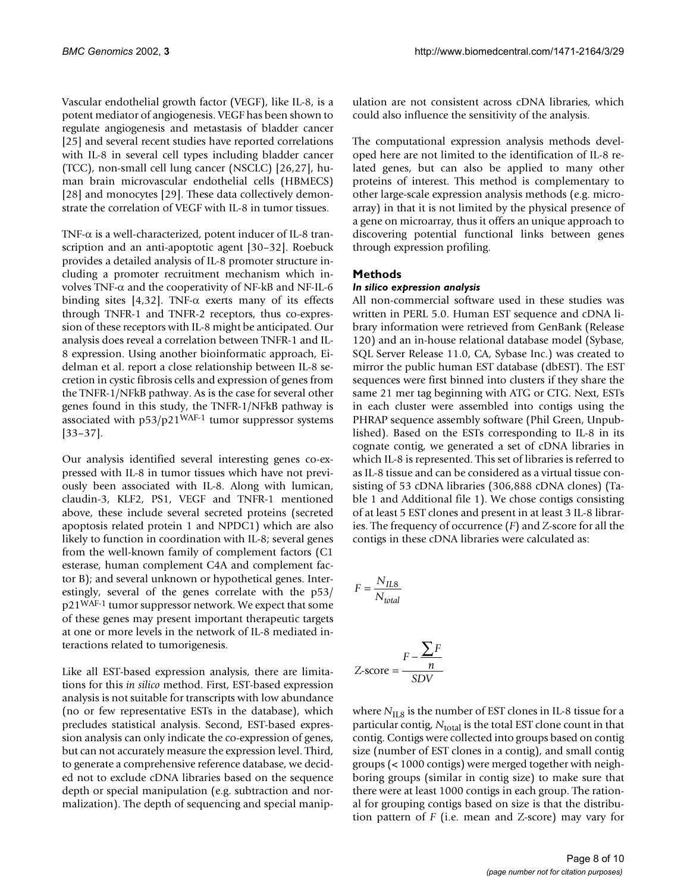Vascular endothelial growth factor (VEGF), like IL-8, is a potent mediator of angiogenesis. VEGF has been shown to regulate angiogenesis and metastasis of bladder cancer [25] and several recent studies have reported correlations with IL-8 in several cell types including bladder cancer (TCC), non-small cell lung cancer (NSCLC) [26,27], human brain microvascular endothelial cells (HBMECS) [28] and monocytes [29]. These data collectively demonstrate the correlation of VEGF with IL-8 in tumor tissues.

TNF- $\alpha$  is a well-characterized, potent inducer of IL-8 transcription and an anti-apoptotic agent [30–32]. Roebuck provides a detailed analysis of IL-8 promoter structure including a promoter recruitment mechanism which involves TNF- $\alpha$  and the cooperativity of NF-kB and NF-IL-6 binding sites [4,32]. TNF- $\alpha$  exerts many of its effects through TNFR-1 and TNFR-2 receptors, thus co-expression of these receptors with IL-8 might be anticipated. Our analysis does reveal a correlation between TNFR-1 and IL-8 expression. Using another bioinformatic approach, Eidelman et al. report a close relationship between IL-8 secretion in cystic fibrosis cells and expression of genes from the TNFR-1/NFkB pathway. As is the case for several other genes found in this study, the TNFR-1/NFkB pathway is associated with p53/p21WAF-1 tumor suppressor systems [33–37].

Our analysis identified several interesting genes co-expressed with IL-8 in tumor tissues which have not previously been associated with IL-8. Along with lumican, claudin-3, KLF2, PS1, VEGF and TNFR-1 mentioned above, these include several secreted proteins (secreted apoptosis related protein 1 and NPDC1) which are also likely to function in coordination with IL-8; several genes from the well-known family of complement factors (C1 esterase, human complement C4A and complement factor B); and several unknown or hypothetical genes. Interestingly, several of the genes correlate with the p53/ p21WAF-1 tumor suppressor network. We expect that some of these genes may present important therapeutic targets at one or more levels in the network of IL-8 mediated interactions related to tumorigenesis.

Like all EST-based expression analysis, there are limitations for this *in silico* method. First, EST-based expression analysis is not suitable for transcripts with low abundance (no or few representative ESTs in the database), which precludes statistical analysis. Second, EST-based expression analysis can only indicate the co-expression of genes, but can not accurately measure the expression level. Third, to generate a comprehensive reference database, we decided not to exclude cDNA libraries based on the sequence depth or special manipulation (e.g. subtraction and normalization). The depth of sequencing and special manipulation are not consistent across cDNA libraries, which could also influence the sensitivity of the analysis.

The computational expression analysis methods developed here are not limited to the identification of IL-8 related genes, but can also be applied to many other proteins of interest. This method is complementary to other large-scale expression analysis methods (e.g. microarray) in that it is not limited by the physical presence of a gene on microarray, thus it offers an unique approach to discovering potential functional links between genes through expression profiling.

# **Methods**

### *In silico expression analysis*

All non-commercial software used in these studies was written in PERL 5.0. Human EST sequence and cDNA library information were retrieved from GenBank (Release 120) and an in-house relational database model (Sybase, SQL Server Release 11.0, CA, Sybase Inc.) was created to mirror the public human EST database (dbEST). The EST sequences were first binned into clusters if they share the same 21 mer tag beginning with ATG or CTG. Next, ESTs in each cluster were assembled into contigs using the PHRAP sequence assembly software (Phil Green, Unpublished). Based on the ESTs corresponding to IL-8 in its cognate contig, we generated a set of cDNA libraries in which IL-8 is represented. This set of libraries is referred to as IL-8 tissue and can be considered as a virtual tissue consisting of 53 cDNA libraries (306,888 cDNA clones) (Table 1 and Additional file 1). We chose contigs consisting of at least 5 EST clones and present in at least 3 IL-8 libraries. The frequency of occurrence (*F*) and Z-score for all the contigs in these cDNA libraries were calculated as:

$$
F = \frac{N_{IL8}}{N_{total}}
$$

$$
Z\text{-score} = \frac{F - \frac{\sum F}{n}}{SDV}
$$

where *N*<sub>IL8</sub> is the number of EST clones in IL-8 tissue for a particular contig,  $N_{total}$  is the total EST clone count in that contig. Contigs were collected into groups based on contig size (number of EST clones in a contig), and small contig groups (< 1000 contigs) were merged together with neighboring groups (similar in contig size) to make sure that there were at least 1000 contigs in each group. The rational for grouping contigs based on size is that the distribution pattern of *F* (i.e. mean and Z-score) may vary for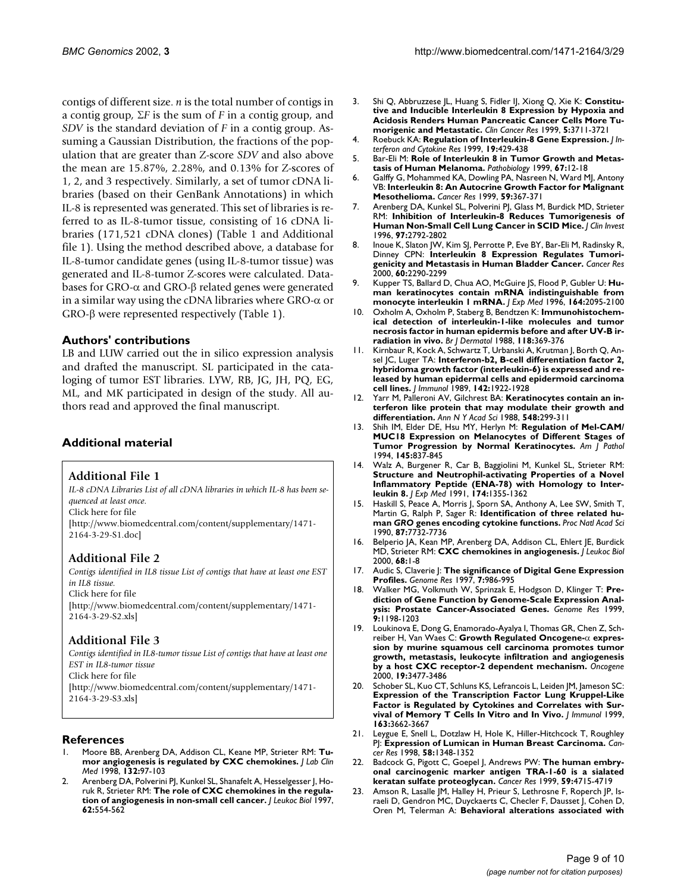contigs of different size. *n* is the total number of contigs in a contig group,  $\Sigma F$  is the sum of *F* in a contig group, and *SDV* is the standard deviation of *F* in a contig group. Assuming a Gaussian Distribution, the fractions of the population that are greater than Z-score *SDV* and also above the mean are 15.87%, 2.28%, and 0.13% for Z-scores of 1, 2, and 3 respectively. Similarly, a set of tumor cDNA libraries (based on their GenBank Annotations) in which IL-8 is represented was generated. This set of libraries is referred to as IL-8-tumor tissue, consisting of 16 cDNA libraries (171,521 cDNA clones) (Table 1 and Additional file 1). Using the method described above, a database for IL-8-tumor candidate genes (using IL-8-tumor tissue) was generated and IL-8-tumor Z-scores were calculated. Databases for GRO- $\alpha$  and GRO- $\beta$  related genes were generated in a similar way using the cDNA libraries where  $GRO-\alpha$  or  $GRO-\beta$  were represented respectively (Table 1).

# **Authors' contributions**

LB and LUW carried out the in silico expression analysis and drafted the manuscript. SL participated in the cataloging of tumor EST libraries. LYW, RB, JG, JH, PQ, EG, ML, and MK participated in design of the study. All authors read and approved the final manuscript.

# **Additional material**

# **Additional File 1**

*IL-8 cDNA Libraries List of all cDNA libraries in which IL-8 has been sequenced at least once.* [Click here for file](http://www.biomedcentral.com/content/supplementary/1471-2164-3-29-S1.doc) [\[http://www.biomedcentral.com/content/supplementary/1471-](http://www.biomedcentral.com/content/supplementary/1471-2164-3-29-S1.doc) 2164-3-29-S1.doc]

# **Additional File 2**

*Contigs identified in IL8 tissue List of contigs that have at least one EST in IL8 tissue.* [Click here for file](http://www.biomedcentral.com/content/supplementary/1471-2164-3-29-S2.xls)

[\[http://www.biomedcentral.com/content/supplementary/1471-](http://www.biomedcentral.com/content/supplementary/1471-2164-3-29-S2.xls) 2164-3-29-S2.xls]

# **Additional File 3**

*Contigs identified in IL8-tumor tissue List of contigs that have at least one EST in IL8-tumor tissue* [Click here for file](http://www.biomedcentral.com/content/supplementary/1471-2164-3-29-S3.xls) [\[http://www.biomedcentral.com/content/supplementary/1471-](http://www.biomedcentral.com/content/supplementary/1471-2164-3-29-S3.xls) 2164-3-29-S3.xls]

# **References**

- 1. [Moore BB, Arenberg DA, Addison CL, Keane MP, Strieter RM:](http://www.ncbi.nlm.nih.gov/entrez/query.fcgi?cmd=Retrieve&db=PubMed&dopt=Abstract&list_uids=9708570) **[Tu](http://www.ncbi.nlm.nih.gov/entrez/query.fcgi?cmd=Retrieve&db=PubMed&dopt=Abstract&list_uids=9708570)[mor angiogenesis is regulated by CXC chemokines.](http://www.ncbi.nlm.nih.gov/entrez/query.fcgi?cmd=Retrieve&db=PubMed&dopt=Abstract&list_uids=9708570)** *J Lab Clin Med* 1998, **132:**97-103
- 2. [Arenberg DA, Polverini PJ, Kunkel SL, Shanafelt A, Hesselgesser J, Ho](http://www.ncbi.nlm.nih.gov/entrez/query.fcgi?cmd=Retrieve&db=PubMed&dopt=Abstract&list_uids=9365108)[ruk R, Strieter RM:](http://www.ncbi.nlm.nih.gov/entrez/query.fcgi?cmd=Retrieve&db=PubMed&dopt=Abstract&list_uids=9365108) **[The role of CXC chemokines in the regula](http://www.ncbi.nlm.nih.gov/entrez/query.fcgi?cmd=Retrieve&db=PubMed&dopt=Abstract&list_uids=9365108)[tion of angiogenesis in non-small cell cancer.](http://www.ncbi.nlm.nih.gov/entrez/query.fcgi?cmd=Retrieve&db=PubMed&dopt=Abstract&list_uids=9365108)** *J Leukoc Biol* 1997, **62:**554-562
- 3. [Shi Q, Abbruzzese JL, Huang S, Fidler IJ, Xiong Q, Xie K:](http://www.ncbi.nlm.nih.gov/entrez/query.fcgi?cmd=Retrieve&db=PubMed&dopt=Abstract&list_uids=10589791) **[Constitu](http://www.ncbi.nlm.nih.gov/entrez/query.fcgi?cmd=Retrieve&db=PubMed&dopt=Abstract&list_uids=10589791)tive and Inducible Interleukin 8 Expression by Hypoxia and [Acidosis Renders Human Pancreatic Cancer Cells More Tu](http://www.ncbi.nlm.nih.gov/entrez/query.fcgi?cmd=Retrieve&db=PubMed&dopt=Abstract&list_uids=10589791)[morigenic and Metastatic.](http://www.ncbi.nlm.nih.gov/entrez/query.fcgi?cmd=Retrieve&db=PubMed&dopt=Abstract&list_uids=10589791)** *Clin Cancer Res* 1999, **5:**3711-3721
- 4. [Roebuck KA:](http://www.ncbi.nlm.nih.gov/entrez/query.fcgi?cmd=Retrieve&db=PubMed&dopt=Abstract&list_uids=10.1089/107999099313866) **[Regulation of Interleukin-8 Gene Expression.](http://www.ncbi.nlm.nih.gov/entrez/query.fcgi?cmd=Retrieve&db=PubMed&dopt=Abstract&list_uids=10.1089/107999099313866)** *J Interferon and Cytokine Res* 1999, **19:**429-438
- 5. [Bar-Eli M:](http://www.ncbi.nlm.nih.gov/entrez/query.fcgi?cmd=Retrieve&db=PubMed&dopt=Abstract&list_uids=9873223) **[Role of Interleukin 8 in Tumor Growth and Metas](http://www.ncbi.nlm.nih.gov/entrez/query.fcgi?cmd=Retrieve&db=PubMed&dopt=Abstract&list_uids=10.1159/000028045)[tasis of Human Melanoma.](http://www.ncbi.nlm.nih.gov/entrez/query.fcgi?cmd=Retrieve&db=PubMed&dopt=Abstract&list_uids=10.1159/000028045)** *Pathobiology* 1999, **67:**12-18
- 6. [Galffy G, Mohammed KA, Dowling PA, Nasreen N, Ward MJ, Antony](http://www.ncbi.nlm.nih.gov/entrez/query.fcgi?cmd=Retrieve&db=PubMed&dopt=Abstract&list_uids=9927048) [VB:](http://www.ncbi.nlm.nih.gov/entrez/query.fcgi?cmd=Retrieve&db=PubMed&dopt=Abstract&list_uids=9927048) **[Interleukin 8: An Autocrine Growth Factor for Malignant](http://www.ncbi.nlm.nih.gov/entrez/query.fcgi?cmd=Retrieve&db=PubMed&dopt=Abstract&list_uids=9927048) [Mesothelioma.](http://www.ncbi.nlm.nih.gov/entrez/query.fcgi?cmd=Retrieve&db=PubMed&dopt=Abstract&list_uids=9927048)** *Cancer Res* 1999, **59:**367-371
- 7. [Arenberg DA, Kunkel SL, Polverini PJ, Glass M, Burdick MD, Strieter](http://www.ncbi.nlm.nih.gov/entrez/query.fcgi?cmd=Retrieve&db=PubMed&dopt=Abstract&list_uids=8675690) [RM:](http://www.ncbi.nlm.nih.gov/entrez/query.fcgi?cmd=Retrieve&db=PubMed&dopt=Abstract&list_uids=8675690) **[Inhibition of Interleukin-8 Reduces Tumorigenesis of](http://www.ncbi.nlm.nih.gov/entrez/query.fcgi?cmd=Retrieve&db=PubMed&dopt=Abstract&list_uids=8675690) [Human Non-Small Cell Lung Cancer in SCID Mice.](http://www.ncbi.nlm.nih.gov/entrez/query.fcgi?cmd=Retrieve&db=PubMed&dopt=Abstract&list_uids=8675690)** *J Clin Invest* 1996, **97:**2792-2802
- 8. [Inoue K, Slaton JW, Kim SJ, Perrotte P, Eve BY, Bar-Eli M, Radinsky R,](http://www.ncbi.nlm.nih.gov/entrez/query.fcgi?cmd=Retrieve&db=PubMed&dopt=Abstract&list_uids=10786697) [Dinney CPN:](http://www.ncbi.nlm.nih.gov/entrez/query.fcgi?cmd=Retrieve&db=PubMed&dopt=Abstract&list_uids=10786697) **[Interleukin 8 Expression Regulates Tumori](http://www.ncbi.nlm.nih.gov/entrez/query.fcgi?cmd=Retrieve&db=PubMed&dopt=Abstract&list_uids=10786697)[genicity and Metastasis in Human Bladder Cancer.](http://www.ncbi.nlm.nih.gov/entrez/query.fcgi?cmd=Retrieve&db=PubMed&dopt=Abstract&list_uids=10786697)** *Cancer Res* 2000, **60:**2290-2299
- 9. Kupper TS, Ballard D, Chua AO, McGuire JS, Flood P, Gubler U: **Human keratinocytes contain mRNA indistinguishable from monocyte interleukin 1 mRNA.** *J Exp Med* 1996, **164:**2095-2100
- 10. [Oxholm A, Oxholm P, Staberg B, Bendtzen K:](http://www.ncbi.nlm.nih.gov/entrez/query.fcgi?cmd=Retrieve&db=PubMed&dopt=Abstract&list_uids=3258527) **[Immunohistochem](http://www.ncbi.nlm.nih.gov/entrez/query.fcgi?cmd=Retrieve&db=PubMed&dopt=Abstract&list_uids=3258527)ical detection of interleukin-1-like molecules and tumor [necrosis factor in human epidermis before and after UV-B ir](http://www.ncbi.nlm.nih.gov/entrez/query.fcgi?cmd=Retrieve&db=PubMed&dopt=Abstract&list_uids=3258527)[radiation in vivo.](http://www.ncbi.nlm.nih.gov/entrez/query.fcgi?cmd=Retrieve&db=PubMed&dopt=Abstract&list_uids=3258527)** *Br J Dermatol* 1988, **118:**369-376
- Kirnbaur R, Kock A, Schwartz T, Urbanski A, Krutman J, Borth Q, An[sel JC, Luger TA:](http://www.ncbi.nlm.nih.gov/entrez/query.fcgi?cmd=Retrieve&db=PubMed&dopt=Abstract&list_uids=2784142) **[Interferon-b2, B-cell differentiation factor 2,](http://www.ncbi.nlm.nih.gov/entrez/query.fcgi?cmd=Retrieve&db=PubMed&dopt=Abstract&list_uids=2784142) [hybridoma growth factor \(interleukin-6\) is expressed and re](http://www.ncbi.nlm.nih.gov/entrez/query.fcgi?cmd=Retrieve&db=PubMed&dopt=Abstract&list_uids=2784142)leased by human epidermal cells and epidermoid carcinoma [cell lines.](http://www.ncbi.nlm.nih.gov/entrez/query.fcgi?cmd=Retrieve&db=PubMed&dopt=Abstract&list_uids=2784142)** *J Immunol* 1989, **142:**1922-1928
- 12. [Yarr M, Palleroni AV, Gilchrest BA:](http://www.ncbi.nlm.nih.gov/entrez/query.fcgi?cmd=Retrieve&db=PubMed&dopt=Abstract&list_uids=2470303) **[Keratinocytes contain an in](http://www.ncbi.nlm.nih.gov/entrez/query.fcgi?cmd=Retrieve&db=PubMed&dopt=Abstract&list_uids=2470303)[terferon like protein that may modulate their growth and](http://www.ncbi.nlm.nih.gov/entrez/query.fcgi?cmd=Retrieve&db=PubMed&dopt=Abstract&list_uids=2470303) [differentiation.](http://www.ncbi.nlm.nih.gov/entrez/query.fcgi?cmd=Retrieve&db=PubMed&dopt=Abstract&list_uids=2470303)** *Ann N Y Acad Sci* 1988, **548:**299-311
- 13. [Shih IM, Elder DE, Hsu MY, Herlyn M:](http://www.ncbi.nlm.nih.gov/entrez/query.fcgi?cmd=Retrieve&db=PubMed&dopt=Abstract&list_uids=7943174) **[Regulation of Mel-CAM/](http://www.ncbi.nlm.nih.gov/entrez/query.fcgi?cmd=Retrieve&db=PubMed&dopt=Abstract&list_uids=7943174) [MUC18 Expression on Melanocytes of Different Stages of](http://www.ncbi.nlm.nih.gov/entrez/query.fcgi?cmd=Retrieve&db=PubMed&dopt=Abstract&list_uids=7943174) [Tumor Progression by Normal Keratinocytes.](http://www.ncbi.nlm.nih.gov/entrez/query.fcgi?cmd=Retrieve&db=PubMed&dopt=Abstract&list_uids=7943174)** *Am J Pathol* 1994, **145:**837-845
- 14. [Walz A, Burgener R, Car B, Baggiolini M, Kunkel SL, Strieter RM:](http://www.ncbi.nlm.nih.gov/entrez/query.fcgi?cmd=Retrieve&db=PubMed&dopt=Abstract&list_uids=1744577) **[Structure and Neutrophil-activating Properties of a Novel](http://www.ncbi.nlm.nih.gov/entrez/query.fcgi?cmd=Retrieve&db=PubMed&dopt=Abstract&list_uids=1744577) [Inflammatory Peptide \(ENA-78\) with Homology to Inter](http://www.ncbi.nlm.nih.gov/entrez/query.fcgi?cmd=Retrieve&db=PubMed&dopt=Abstract&list_uids=1744577)[leukin 8.](http://www.ncbi.nlm.nih.gov/entrez/query.fcgi?cmd=Retrieve&db=PubMed&dopt=Abstract&list_uids=1744577)** *J Exp Med* 1991, **174:**1355-1362
- 15. [Haskill S, Peace A, Morris J, Sporn SA, Anthony A, Lee SW, Smith T,](http://www.ncbi.nlm.nih.gov/entrez/query.fcgi?cmd=Retrieve&db=PubMed&dopt=Abstract&list_uids=2217207) [Martin G, Ralph P, Sager R:](http://www.ncbi.nlm.nih.gov/entrez/query.fcgi?cmd=Retrieve&db=PubMed&dopt=Abstract&list_uids=2217207) **Identification of three related human** *GRO* **[genes encoding cytokine functions.](http://www.ncbi.nlm.nih.gov/entrez/query.fcgi?cmd=Retrieve&db=PubMed&dopt=Abstract&list_uids=54822)** *Proc Natl Acad Sci* 1990, **87:**7732-7736
- 16. [Belperio JA, Kean MP, Arenberg DA, Addison CL, Ehlert JE, Burdick](http://www.ncbi.nlm.nih.gov/entrez/query.fcgi?cmd=Retrieve&db=PubMed&dopt=Abstract&list_uids=10914483) [MD, Strieter RM:](http://www.ncbi.nlm.nih.gov/entrez/query.fcgi?cmd=Retrieve&db=PubMed&dopt=Abstract&list_uids=10914483) **[CXC chemokines in angiogenesis.](http://www.ncbi.nlm.nih.gov/entrez/query.fcgi?cmd=Retrieve&db=PubMed&dopt=Abstract&list_uids=10914483)** *J Leukoc Biol* 2000, **68:**1-8
- 17. [Audic S, Claverie J:](http://www.ncbi.nlm.nih.gov/entrez/query.fcgi?cmd=Retrieve&db=PubMed&dopt=Abstract&list_uids=9331369) **[The significance of Digital Gene Expression](http://www.ncbi.nlm.nih.gov/entrez/query.fcgi?cmd=Retrieve&db=PubMed&dopt=Abstract&list_uids=9331369) [Profiles.](http://www.ncbi.nlm.nih.gov/entrez/query.fcgi?cmd=Retrieve&db=PubMed&dopt=Abstract&list_uids=9331369)** *Genome Res* 1997, **7:**986-995
- 18. [Walker MG, Volkmuth W, Sprinzak E, Hodgson D, Klinger T:](http://www.ncbi.nlm.nih.gov/entrez/query.fcgi?cmd=Retrieve&db=PubMed&dopt=Abstract&list_uids=10613842) **[Pre](http://www.ncbi.nlm.nih.gov/entrez/query.fcgi?cmd=Retrieve&db=PubMed&dopt=Abstract&list_uids=10.1101/gr.9.12.1198)[diction of Gene Function by Genome-Scale Expression Anal](http://www.ncbi.nlm.nih.gov/entrez/query.fcgi?cmd=Retrieve&db=PubMed&dopt=Abstract&list_uids=10.1101/gr.9.12.1198)[ysis: Prostate Cancer-Associated Genes.](http://www.ncbi.nlm.nih.gov/entrez/query.fcgi?cmd=Retrieve&db=PubMed&dopt=Abstract&list_uids=10.1101/gr.9.12.1198)** *Genome Res* 1999, **9:**1198-1203
- 19. [Loukinova E, Dong G, Enamorado-Ayalya I, Thomas GR, Chen Z, Sch](http://www.ncbi.nlm.nih.gov/entrez/query.fcgi?cmd=Retrieve&db=PubMed&dopt=Abstract&list_uids=10918606)[reiber H, Van Waes C:](http://www.ncbi.nlm.nih.gov/entrez/query.fcgi?cmd=Retrieve&db=PubMed&dopt=Abstract&list_uids=10918606) **Growth Regulated Oncogene- [expres](http://www.ncbi.nlm.nih.gov/entrez/query.fcgi?cmd=Retrieve&db=PubMed&dopt=Abstract&list_uids=10.1038/sj.onc.1203687)sion by murine squamous cell carcinoma promotes tumor [growth, metastasis, leukocyte infiltration and angiogenesis](http://www.ncbi.nlm.nih.gov/entrez/query.fcgi?cmd=Retrieve&db=PubMed&dopt=Abstract&list_uids=10.1038/sj.onc.1203687) [by a host CXC receptor-2 dependent mechanism.](http://www.ncbi.nlm.nih.gov/entrez/query.fcgi?cmd=Retrieve&db=PubMed&dopt=Abstract&list_uids=10.1038/sj.onc.1203687)** *Oncogene* 2000, **19:**3477-3486
- 20. [Schober SL, Kuo CT, Schluns KS, Lefrancois L, Leiden JM, Jameson SC:](http://www.ncbi.nlm.nih.gov/entrez/query.fcgi?cmd=Retrieve&db=PubMed&dopt=Abstract&list_uids=10490960) **[Expression of the Transcription Factor Lung Kruppel-Like](http://www.ncbi.nlm.nih.gov/entrez/query.fcgi?cmd=Retrieve&db=PubMed&dopt=Abstract&list_uids=10490960) [Factor is Regulated by Cytokines and Correlates with Sur](http://www.ncbi.nlm.nih.gov/entrez/query.fcgi?cmd=Retrieve&db=PubMed&dopt=Abstract&list_uids=10490960)[vival of Memory T Cells In Vitro and In Vivo.](http://www.ncbi.nlm.nih.gov/entrez/query.fcgi?cmd=Retrieve&db=PubMed&dopt=Abstract&list_uids=10490960)** *J Immunol* 1999, **163:**3662-3667
- 21. [Leygue E, Snell L, Dotzlaw H, Hole K, Hiller-Hitchcock T, Roughley](http://www.ncbi.nlm.nih.gov/entrez/query.fcgi?cmd=Retrieve&db=PubMed&dopt=Abstract&list_uids=9537227) [PJ:](http://www.ncbi.nlm.nih.gov/entrez/query.fcgi?cmd=Retrieve&db=PubMed&dopt=Abstract&list_uids=9537227) **[Expression of Lumican in Human Breast Carcinoma.](http://www.ncbi.nlm.nih.gov/entrez/query.fcgi?cmd=Retrieve&db=PubMed&dopt=Abstract&list_uids=9537227)** *Cancer Res* 1998, **58:**1348-1352
- 22. [Badcock G, Pigott C, Goepel J, Andrews PW:](http://www.ncbi.nlm.nih.gov/entrez/query.fcgi?cmd=Retrieve&db=PubMed&dopt=Abstract&list_uids=10493530) **[The human embry](http://www.ncbi.nlm.nih.gov/entrez/query.fcgi?cmd=Retrieve&db=PubMed&dopt=Abstract&list_uids=10493530)[onal carcinogenic marker antigen TRA-1-60 is a sialated](http://www.ncbi.nlm.nih.gov/entrez/query.fcgi?cmd=Retrieve&db=PubMed&dopt=Abstract&list_uids=10493530) [keratan sulfate proteoglycan.](http://www.ncbi.nlm.nih.gov/entrez/query.fcgi?cmd=Retrieve&db=PubMed&dopt=Abstract&list_uids=10493530)** *Cancer Res* 1999, **59:**4715-4719
- 23. [Amson R, Lasalle JM, Halley H, Prieur S, Lethrosne F, Roperch JP, Is](http://www.ncbi.nlm.nih.gov/entrez/query.fcgi?cmd=Retrieve&db=PubMed&dopt=Abstract&list_uids=10.1073/pnas.97.10.5346)[raeli D, Gendron MC, Duyckaerts C, Checler F, Dausset J, Cohen D,](http://www.ncbi.nlm.nih.gov/entrez/query.fcgi?cmd=Retrieve&db=PubMed&dopt=Abstract&list_uids=10.1073/pnas.97.10.5346) [Oren M, Telerman A:](http://www.ncbi.nlm.nih.gov/entrez/query.fcgi?cmd=Retrieve&db=PubMed&dopt=Abstract&list_uids=10.1073/pnas.97.10.5346) **[Behavioral alterations associated with](http://www.ncbi.nlm.nih.gov/entrez/query.fcgi?cmd=Retrieve&db=PubMed&dopt=Abstract&list_uids=25831)**